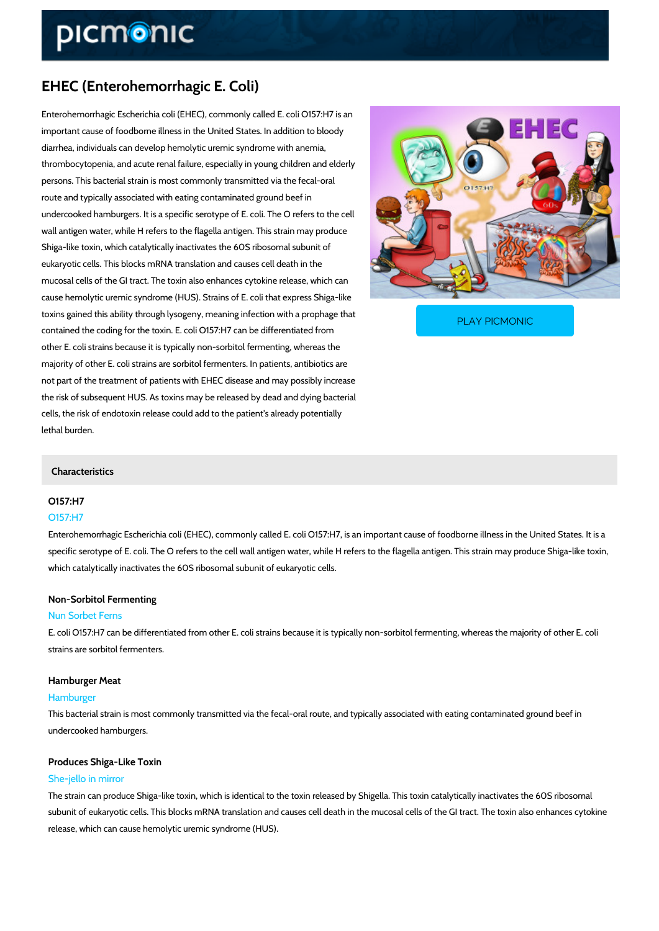# EHEC (Enterohemorrhagic E. Coli)

Enterohemorrhagic Escherichia coli (EHEC), commonly called E. coli O157:H7 is an important cause of foodborne illness in the United States. In addition to bloody diarrhea, individuals can develop hemolytic uremic syndrome with anemia, thrombocytopenia, and acute renal failure, especially in young children and elderly persons. This bacterial strain is most commonly transmitted via the fecal-oral route and typically associated with eating contaminated ground beef in undercooked hamburgers. It is a specific serotype of E. coli. The O refers to the cell wall antigen water, while H refers to the flagella antigen. This strain may produce Shiga-like toxin, which catalytically inactivates the 60S ribosomal subunit of eukaryotic cells. This blocks mRNA translation and causes cell death in the mucosal cells of the GI tract. The toxin also enhances cytokine release, which can cause hemolytic uremic syndrome (HUS). Strains of E. coli that express Shiga-like toxins gained this ability through lysogeny, meaning infect contained the coding for the toxin. E. coli  $O157:H7$  can be PLAY PICMONIC

other E. coli strains because it is typically non-sorbitol fermenting, whereas the majority of other E. coli strains are sorbitol fermenters. In patients, antibiotics are not part of the treatment of patients with EHEC disease and may possibly increase the risk of subsequent HUS. As toxins may be released by dead and dying bacterial cells, the risk of endotoxin release could add to the patient's already potentially lethal burden.

#### Characteristics

### O157:H7

#### O157:H7

Enterohemorrhagic Escherichia coli (EHEC), commonly called E. coli O157:H7, is an important specific serotype of E. coli. The O refers to the cell wall antigen water, while H refers to the which catalytically inactivates the 60S ribosomal subunit of eukaryotic cells.

#### Non-Sorbitol Fermenting

#### Nun Sorbet Ferns

E. coli O157:H7 can be differentiated from other E. coli strains because it is typically non-so strains are sorbitol fermenters.

## Hamburger Meat

#### Hamburger

This bacterial strain is most commonly transmitted via the fecal-oral route, and typically asso undercooked hamburgers.

## Produces Shiga-Like Toxin She-jello in mirror

The strain can produce Shiga-like toxin, which is identical to the toxin released by Shigella. subunit of eukaryotic cells. This blocks mRNA translation and causes cell death in the mucosa release, which can cause hemolytic uremic syndrome (HUS).